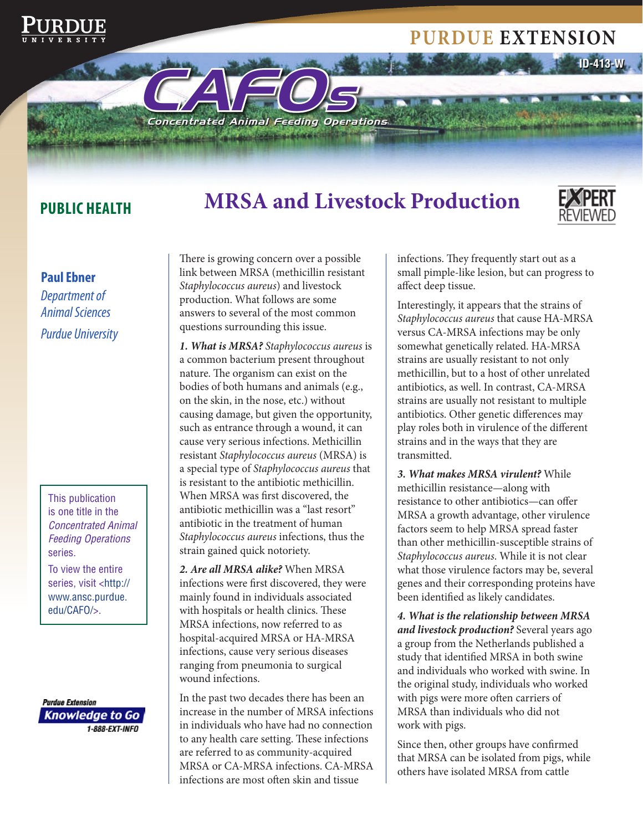# **Purdue extension**

**Public HealtH** 

# **MrsA and Livestock Production**



**ID-413-W**

#### **Paul Ebner**

*Department of Animal Sciences Purdue University* 

This publication is one title in the *Concentrated Animal Feeding Operations*  series.

To view the entire series, visit <http:// www.ansc.purdue. edu/CAFO/>.

**Purdue Extension Knowledge to Go** 1-888-EXT-INFO

There is growing concern over a possible link between MRSA (methicillin resistant *Staphylococcus aureus*) and livestock production. What follows are some answers to several of the most common questions surrounding this issue.

CAFO<sup>s</sup>

**Concentrated Animal Feeding Operations** 

*1. What is MRSA? Staphylococcus aureus* is a common bacterium present throughout nature. The organism can exist on the bodies of both humans and animals (e.g., on the skin, in the nose, etc.) without causing damage, but given the opportunity, such as entrance through a wound, it can cause very serious infections. Methicillin resistant *Staphylococcus aureus* (MRSA) is a special type of *Staphylococcus aureus* that is resistant to the antibiotic methicillin. When MRSA was first discovered, the antibiotic methicillin was a "last resort" antibiotic in the treatment of human *Staphylococcus aureus* infections, thus the strain gained quick notoriety.

*2. Are all MRSA alike?* When MRSA infections were first discovered, they were mainly found in individuals associated with hospitals or health clinics. These MRSA infections, now referred to as hospital-acquired MRSA or HA-MRSA infections, cause very serious diseases ranging from pneumonia to surgical wound infections.

In the past two decades there has been an increase in the number of MRSA infections in individuals who have had no connection to any health care setting. These infections are referred to as community-acquired MRSA or CA-MRSA infections. CA-MRSA infections are most often skin and tissue

infections. They frequently start out as a small pimple-like lesion, but can progress to affect deep tissue.

Interestingly, it appears that the strains of *Staphylococcus aureus* that cause HA-MRSA versus CA-MRSA infections may be only somewhat genetically related. HA-MRSA strains are usually resistant to not only methicillin, but to a host of other unrelated antibiotics, as well. In contrast, CA-MRSA strains are usually not resistant to multiple antibiotics. Other genetic differences may play roles both in virulence of the different strains and in the ways that they are transmitted.

*3. What makes MRSA virulent?* While methicillin resistance—along with resistance to other antibiotics—can offer MRSA a growth advantage, other virulence factors seem to help MRSA spread faster than other methicillin-susceptible strains of *Staphylococcus aureus*. While it is not clear what those virulence factors may be, several genes and their corresponding proteins have been identified as likely candidates.

*4. What is the relationship between MRSA and livestock production?* Several years ago a group from the Netherlands published a study that identified MRSA in both swine and individuals who worked with swine. In the original study, individuals who worked with pigs were more often carriers of MRSA than individuals who did not work with pigs.

Since then, other groups have confirmed that MRSA can be isolated from pigs, while others have isolated MRSA from cattle